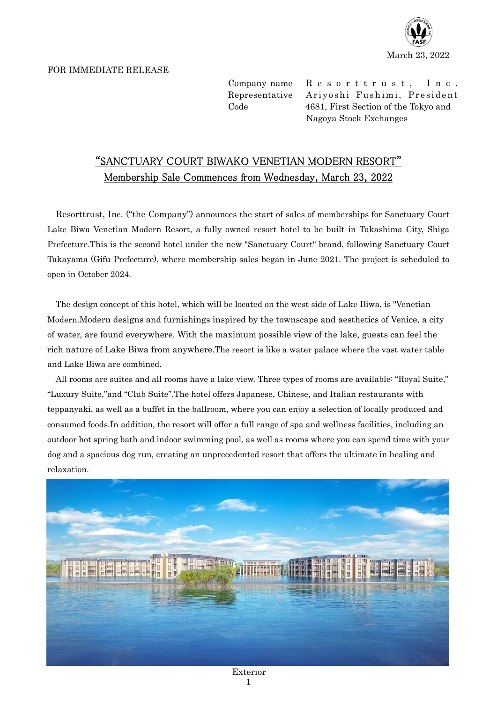

## FOR IMMEDIATE RELEASE

Company name Resorttrust, Inc. Representative Ariyoshi Fushimi, President Code 4681, First Section of the Tokyo and Nagoya Stock Exchanges

## "SANCTUARY COURT BIWAKO VENETIAN MODERN RESORT" Membership Sale Commences from Wednesday, March 23, 2022

Resorttrust, Inc. ("the Company") announces the start of sales of memberships for Sanctuary Court Lake Biwa Venetian Modern Resort, a fully owned resort hotel to be built in Takashima City, Shiga Prefecture.This is the second hotel under the new "Sanctuary Court" brand, following Sanctuary Court Takayama (Gifu Prefecture), where membership sales began in June 2021. The project is scheduled to open in October 2024.

The design concept of this hotel, which will be located on the west side of Lake Biwa, is "Venetian Modern.Modern designs and furnishings inspired by the townscape and aesthetics of Venice, a city of water, are found everywhere. With the maximum possible view of the lake, guests can feel the rich nature of Lake Biwa from anywhere.The resort is like a water palace where the vast water table and Lake Biwa are combined.

All rooms are suites and all rooms have a lake view. Three types of rooms are available: "Royal Suite," "Luxury Suite,"and "Club Suite".The hotel offers Japanese, Chinese, and Italian restaurants with teppanyaki, as well as a buffet in the ballroom, where you can enjoy a selection of locally produced and consumed foods.In addition, the resort will offer a full range of spa and wellness facilities, including an outdoor hot spring bath and indoor swimming pool, as well as rooms where you can spend time with your dog and a spacious dog run, creating an unprecedented resort that offers the ultimate in healing and relaxation.

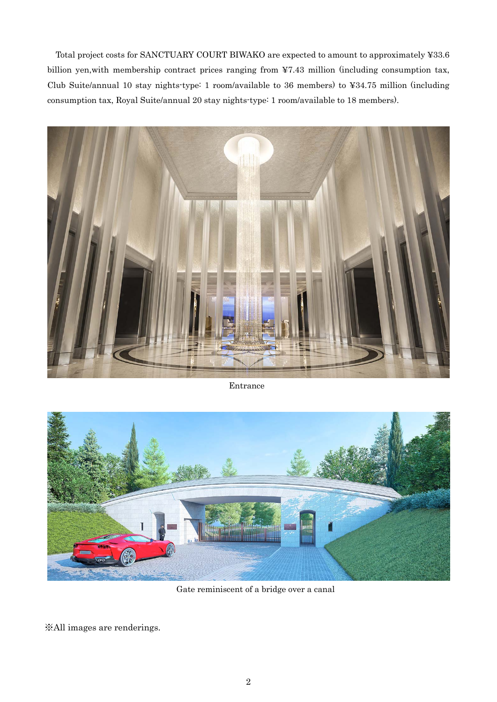Total project costs for SANCTUARY COURT BIWAKO are expected to amount to approximately ¥33.6 billion yen,with membership contract prices ranging from ¥7.43 million (including consumption tax, Club Suite/annual 10 stay nights-type: 1 room/available to 36 members) to ¥34.75 million (including consumption tax, Royal Suite/annual 20 stay nights-type: 1 room/available to 18 members).



Entrance



Gate reminiscent of a bridge over a canal

※All images are renderings.